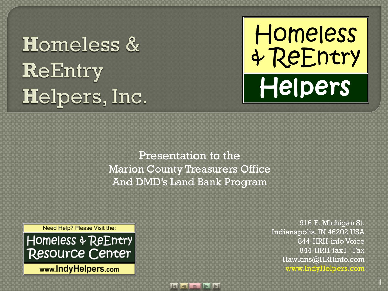## **Homeless &** ReEntry Helpers, Inc.



Presentation to the Marion County Treasurers Office And DMD's Land Bank Program



916 E. Michigan St. Indianapolis, IN 46202 USA 844-HRH-info Voice 844-HRH-fax1 Fax Hawkins@HRHinfo.com www.IndyHelpers.com

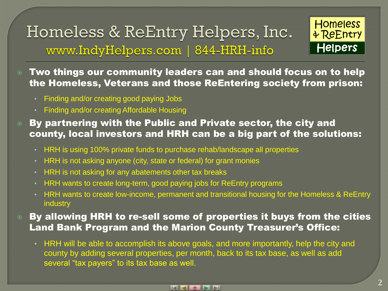

 Two things our community leaders can and should focus on to help the Homeless, Veterans and those ReEntering society from prison:

- Finding and/or creating good paying Jobs
- Finding and/or creating Affordable Housing
- By partnering with the Public and Private sector, the city and county, local investors and HRH can be a big part of the solutions:
	- HRH is using 100% private funds to purchase rehab/landscape all properties
	- HRH is not asking anyone (city, state or federal) for grant monies
	- HRH is not asking for any abatements other tax breaks
	- HRH wants to create long-term, good paying jobs for ReEntry programs
	- HRH wants to create low-income, permanent and transitional housing for the Homeless & ReEntry industry
- **8 By allowing HRH to re-sell some of properties it buys from the cities** Land Bank Program and the Marion County Treasurer's Office:
	- HRH will be able to accomplish its above goals, and more importantly, help the city and county by adding several properties, per month, back to its tax base, as well as add several "tax payers" to its tax base as well.

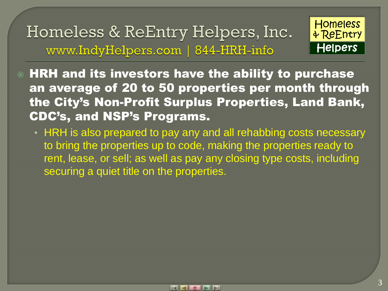

 HRH and its investors have the ability to purchase an average of 20 to 50 properties per month through the City's Non-Profit Surplus Properties, Land Bank, CDC's, and NSP's Programs.

• HRH is also prepared to pay any and all rehabbing costs necessary to bring the properties up to code, making the properties ready to rent, lease, or sell; as well as pay any closing type costs, including securing a quiet title on the properties.

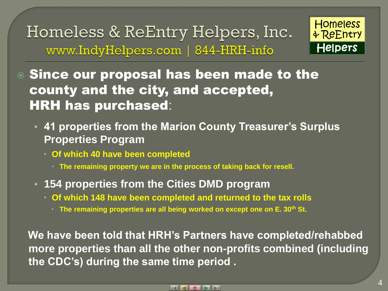

 Since our proposal has been made to the county and the city, and accepted, HRH has purchased:

- **41 properties from the Marion County Treasurer's Surplus Properties Program**
	- **Of which 40 have been completed**
		- **The remaining property we are in the process of taking back for resell.**
- **154 properties from the Cities DMD program**
	- **Of which 148 have been completed and returned to the tax rolls**
		- **The remaining properties are all being worked on except one on E. 30th St.**

 **We have been told that HRH's Partners have completed/rehabbed more properties than all the other non-profits combined (including the CDC's) during the same time period .**

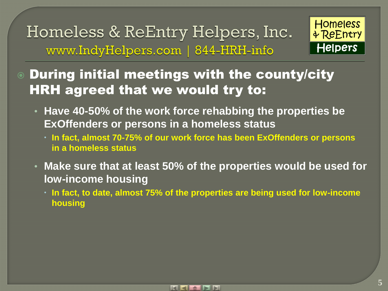

 During initial meetings with the county/city HRH agreed that we would try to:

- **Have 40-50% of the work force rehabbing the properties be ExOffenders or persons in a homeless status**
	- **In fact, almost 70-75% of our work force has been ExOffenders or persons in a homeless status**
- **Make sure that at least 50% of the properties would be used for low-income housing**
	- **In fact, to date, almost 75% of the properties are being used for low-income housing**